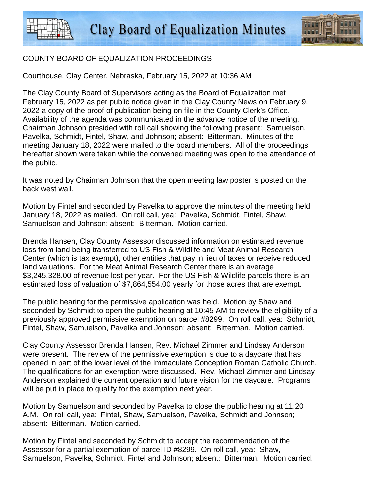

## COUNTY BOARD OF EQUALIZATION PROCEEDINGS

Courthouse, Clay Center, Nebraska, February 15, 2022 at 10:36 AM

The Clay County Board of Supervisors acting as the Board of Equalization met February 15, 2022 as per public notice given in the Clay County News on February 9, 2022 a copy of the proof of publication being on file in the County Clerk's Office. Availability of the agenda was communicated in the advance notice of the meeting. Chairman Johnson presided with roll call showing the following present: Samuelson, Pavelka, Schmidt, Fintel, Shaw, and Johnson; absent: Bitterman. Minutes of the meeting January 18, 2022 were mailed to the board members. All of the proceedings hereafter shown were taken while the convened meeting was open to the attendance of the public.

It was noted by Chairman Johnson that the open meeting law poster is posted on the back west wall.

Motion by Fintel and seconded by Pavelka to approve the minutes of the meeting held January 18, 2022 as mailed. On roll call, yea: Pavelka, Schmidt, Fintel, Shaw, Samuelson and Johnson; absent: Bitterman. Motion carried.

Brenda Hansen, Clay County Assessor discussed information on estimated revenue loss from land being transferred to US Fish & Wildlife and Meat Animal Research Center (which is tax exempt), other entities that pay in lieu of taxes or receive reduced land valuations. For the Meat Animal Research Center there is an average \$3,245,328.00 of revenue lost per year. For the US Fish & Wildlife parcels there is an estimated loss of valuation of \$7,864,554.00 yearly for those acres that are exempt.

The public hearing for the permissive application was held. Motion by Shaw and seconded by Schmidt to open the public hearing at 10:45 AM to review the eligibility of a previously approved permissive exemption on parcel #8299. On roll call, yea: Schmidt, Fintel, Shaw, Samuelson, Pavelka and Johnson; absent: Bitterman. Motion carried.

Clay County Assessor Brenda Hansen, Rev. Michael Zimmer and Lindsay Anderson were present. The review of the permissive exemption is due to a daycare that has opened in part of the lower level of the Immaculate Conception Roman Catholic Church. The qualifications for an exemption were discussed. Rev. Michael Zimmer and Lindsay Anderson explained the current operation and future vision for the daycare. Programs will be put in place to qualify for the exemption next year.

Motion by Samuelson and seconded by Pavelka to close the public hearing at 11:20 A.M. On roll call, yea: Fintel, Shaw, Samuelson, Pavelka, Schmidt and Johnson; absent: Bitterman. Motion carried.

Motion by Fintel and seconded by Schmidt to accept the recommendation of the Assessor for a partial exemption of parcel ID #8299. On roll call, yea: Shaw, Samuelson, Pavelka, Schmidt, Fintel and Johnson; absent: Bitterman. Motion carried.